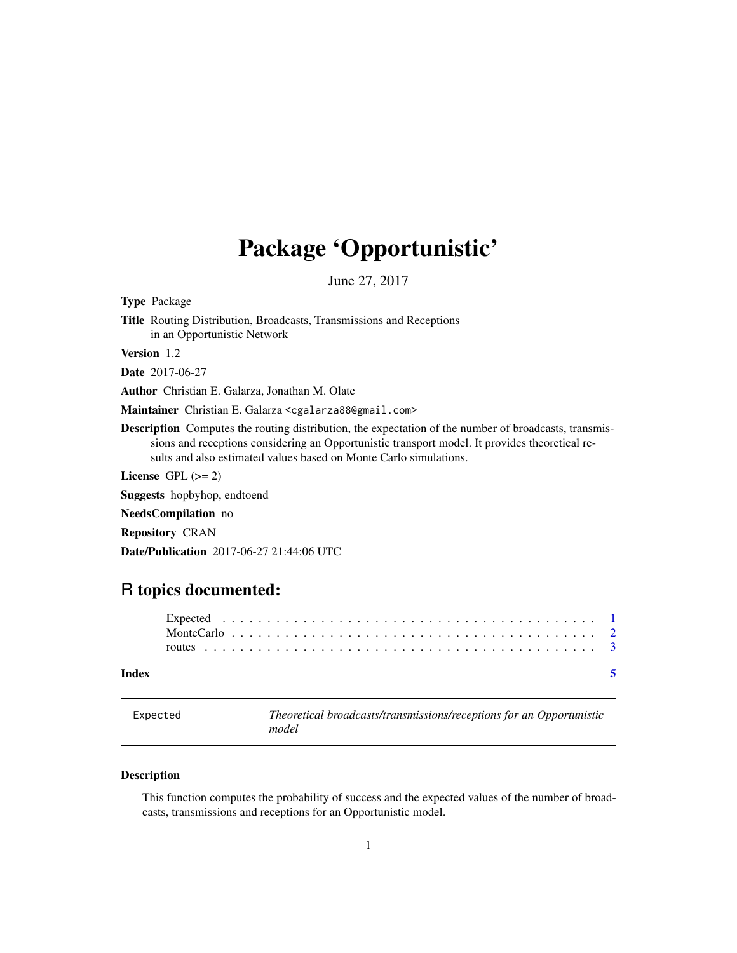## <span id="page-0-0"></span>Package 'Opportunistic'

June 27, 2017

Type Package

Title Routing Distribution, Broadcasts, Transmissions and Receptions in an Opportunistic Network

Version 1.2

Date 2017-06-27

Author Christian E. Galarza, Jonathan M. Olate

Maintainer Christian E. Galarza <cgalarza88@gmail.com>

Description Computes the routing distribution, the expectation of the number of broadcasts, transmissions and receptions considering an Opportunistic transport model. It provides theoretical results and also estimated values based on Monte Carlo simulations.

License GPL  $(>= 2)$ 

Suggests hopbyhop, endtoend

NeedsCompilation no

Repository CRAN

Date/Publication 2017-06-27 21:44:06 UTC

### R topics documented:

| Index |  |  |  |  |  |  |  |  |  |  |  |  |  |  |  |  |  |  |  |  |
|-------|--|--|--|--|--|--|--|--|--|--|--|--|--|--|--|--|--|--|--|--|
|       |  |  |  |  |  |  |  |  |  |  |  |  |  |  |  |  |  |  |  |  |
|       |  |  |  |  |  |  |  |  |  |  |  |  |  |  |  |  |  |  |  |  |

<span id="page-0-1"></span>Expected *Theoretical broadcasts/transmissions/receptions for an Opportunistic model*

#### **Description**

This function computes the probability of success and the expected values of the number of broadcasts, transmissions and receptions for an Opportunistic model.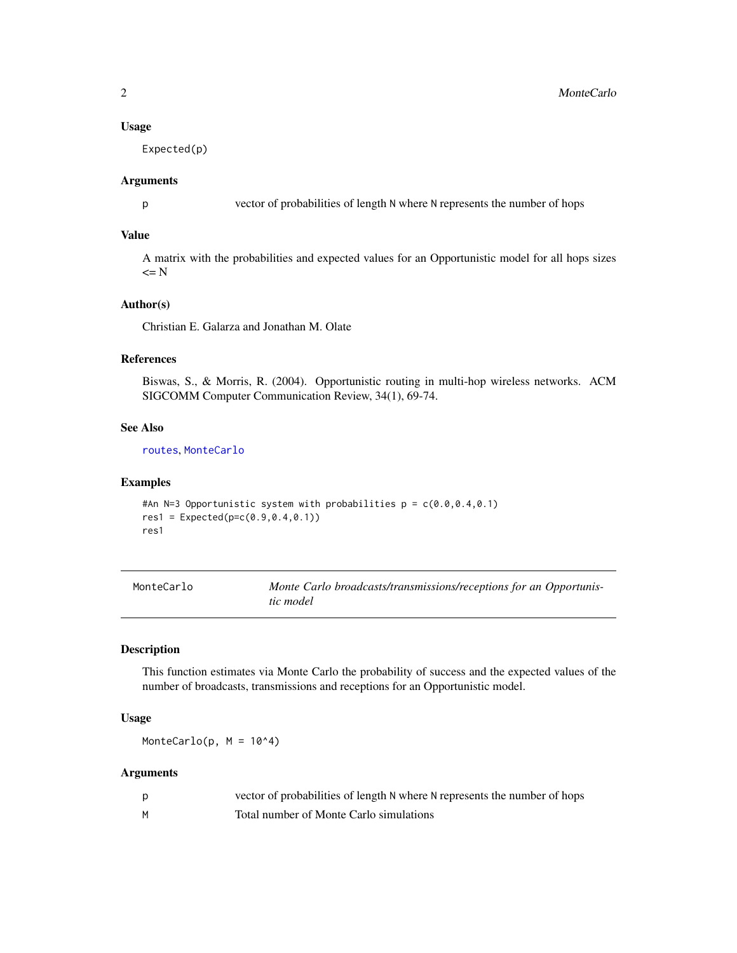#### <span id="page-1-0"></span>Usage

Expected(p)

#### Arguments

p vector of probabilities of length N where N represents the number of hops

#### Value

A matrix with the probabilities and expected values for an Opportunistic model for all hops sizes  $\leq$  N

#### Author(s)

Christian E. Galarza and Jonathan M. Olate

#### References

Biswas, S., & Morris, R. (2004). Opportunistic routing in multi-hop wireless networks. ACM SIGCOMM Computer Communication Review, 34(1), 69-74.

#### See Also

[routes](#page-2-1), [MonteCarlo](#page-1-1)

#### Examples

```
#An N=3 Opportunistic system with probabilities p = c(0.0, 0.4, 0.1)res1 = Expected(p=c(0.9, 0.4, 0.1))res1
```
<span id="page-1-1"></span>

| MonteCarlo | Monte Carlo broadcasts/transmissions/receptions for an Opportunis- |
|------------|--------------------------------------------------------------------|
|            | tic model                                                          |

#### Description

This function estimates via Monte Carlo the probability of success and the expected values of the number of broadcasts, transmissions and receptions for an Opportunistic model.

#### Usage

MonteCarlo(p,  $M = 10^4$ )

#### Arguments

|   | vector of probabilities of length N where N represents the number of hops |
|---|---------------------------------------------------------------------------|
| м | Total number of Monte Carlo simulations                                   |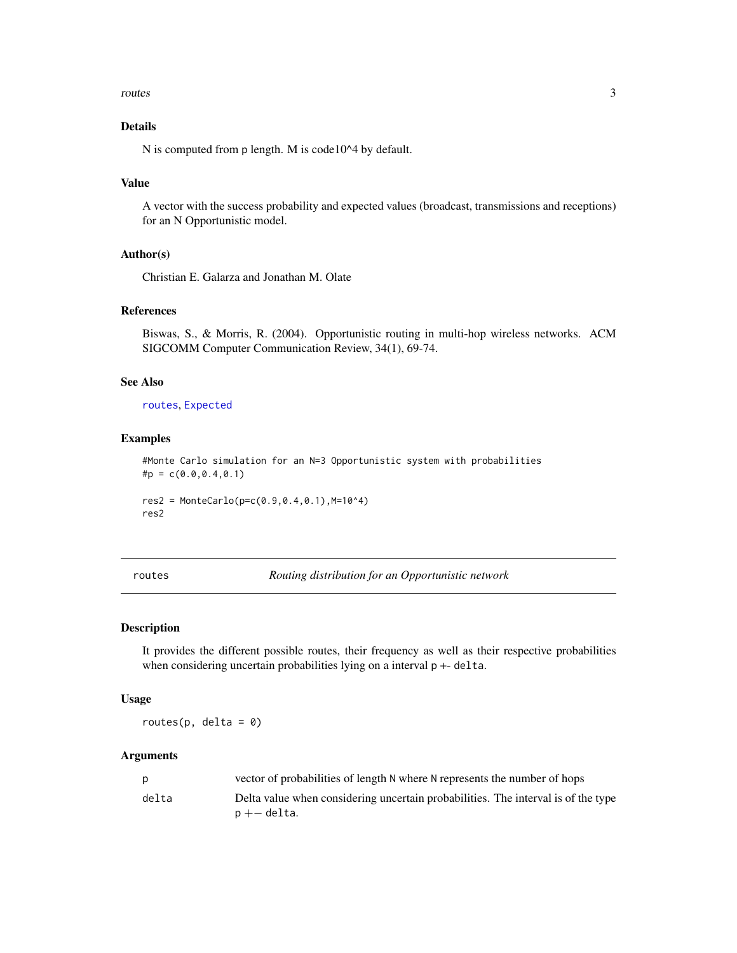#### <span id="page-2-0"></span>routes 3

#### Details

N is computed from p length. M is code10^4 by default.

#### Value

A vector with the success probability and expected values (broadcast, transmissions and receptions) for an N Opportunistic model.

#### Author(s)

Christian E. Galarza and Jonathan M. Olate

#### References

Biswas, S., & Morris, R. (2004). Opportunistic routing in multi-hop wireless networks. ACM SIGCOMM Computer Communication Review, 34(1), 69-74.

#### See Also

#### [routes](#page-2-1), [Expected](#page-0-1)

#### Examples

```
#Monte Carlo simulation for an N=3 Opportunistic system with probabilities
\text{tp} = c(0.0, 0.4, 0.1)res2 = MonteCarlo(p=c(0.9, 0.4, 0.1), M=10^{4})res2
```
<span id="page-2-1"></span>routes *Routing distribution for an Opportunistic network*

#### Description

It provides the different possible routes, their frequency as well as their respective probabilities when considering uncertain probabilities lying on a interval  $p + -$  delta.

#### Usage

routes( $p$ , delta =  $\theta$ )

#### **Arguments**

|       | vector of probabilities of length N where N represents the number of hops         |
|-------|-----------------------------------------------------------------------------------|
| delta | Delta value when considering uncertain probabilities. The interval is of the type |
|       | $p + -$ delta.                                                                    |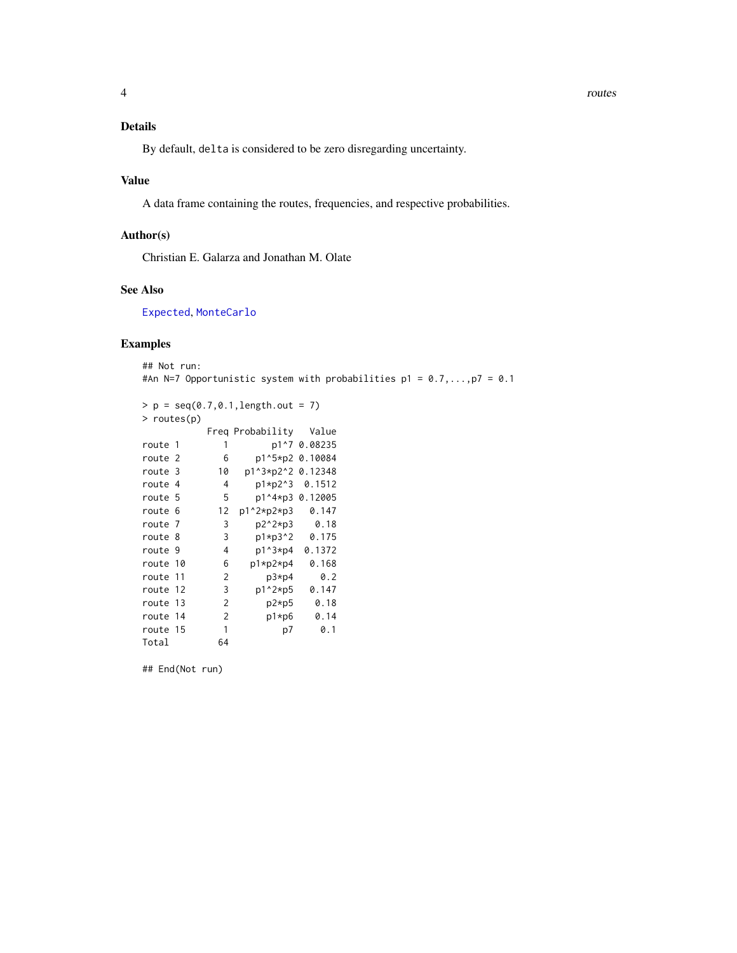<span id="page-3-0"></span>By default, delta is considered to be zero disregarding uncertainty.

#### Value

A data frame containing the routes, frequencies, and respective probabilities.

#### Author(s)

Christian E. Galarza and Jonathan M. Olate

#### See Also

[Expected](#page-0-1), [MonteCarlo](#page-1-1)

#### Examples

## Not run: #An N=7 Opportunistic system with probabilities  $p1 = 0.7,...,p7 = 0.1$ 

```
> p = seq(0.7, 0.1, length.out = 7)> routes(p)
        Freq Probability Value
route 1 1 p1^7 0.08235
route 2 6 p1^5*p2 0.10084
route 3 10 p1^3*p2^2 0.12348
route 4 4 p1*p2^3 0.1512
route 5 5 p1^4*p3 0.12005
route 6 12 p1^2*p2*p3 0.147
route 7 3 p2^2*p3 0.18
route 8 3 p1*p3^2 0.175
route 9 4 p1^3*p4 0.1372
route 10 6 p1*p2*p4 0.168
route 11 2 p3*p4 0.2
route 12 3 p1^2*p5 0.147
route 13 2 p2*p5 0.18
route 14 2 p1*p6 0.14
route 15 1 p7 0.1
Total 64
```
## End(Not run)